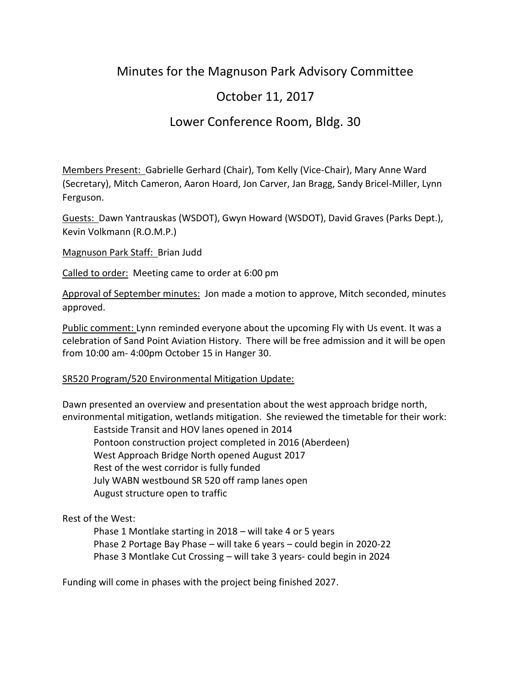# Minutes for the Magnuson Park Advisory Committee

# October 11, 2017

# Lower Conference Room, Bldg. 30

Members Present: Gabrielle Gerhard (Chair), Tom Kelly (Vice-Chair), Mary Anne Ward (Secretary), Mitch Cameron, Aaron Hoard, Jon Carver, Jan Bragg, Sandy Bricel-Miller, Lynn Ferguson.

Guests: Dawn Yantrauskas (WSDOT), Gwyn Howard (WSDOT), David Graves (Parks Dept.), Kevin Volkmann (R.O.M.P.)

Magnuson Park Staff: Brian Judd

Called to order: Meeting came to order at 6:00 pm

Approval of September minutes: Jon made a motion to approve, Mitch seconded, minutes approved.

Public comment: Lynn reminded everyone about the upcoming Fly with Us event. It was a celebration of Sand Point Aviation History. There will be free admission and it will be open from 10:00 am- 4:00pm October 15 in Hanger 30.

#### SR520 Program/520 Environmental Mitigation Update:

Dawn presented an overview and presentation about the west approach bridge north, environmental mitigation, wetlands mitigation. She reviewed the timetable for their work:

Eastside Transit and HOV lanes opened in 2014 Pontoon construction project completed in 2016 (Aberdeen) West Approach Bridge North opened August 2017 Rest of the west corridor is fully funded July WABN westbound SR 520 off ramp lanes open August structure open to traffic

## Rest of the West:

Phase 1 Montlake starting in 2018 – will take 4 or 5 years Phase 2 Portage Bay Phase – will take 6 years – could begin in 2020-22 Phase 3 Montlake Cut Crossing – will take 3 years- could begin in 2024

Funding will come in phases with the project being finished 2027.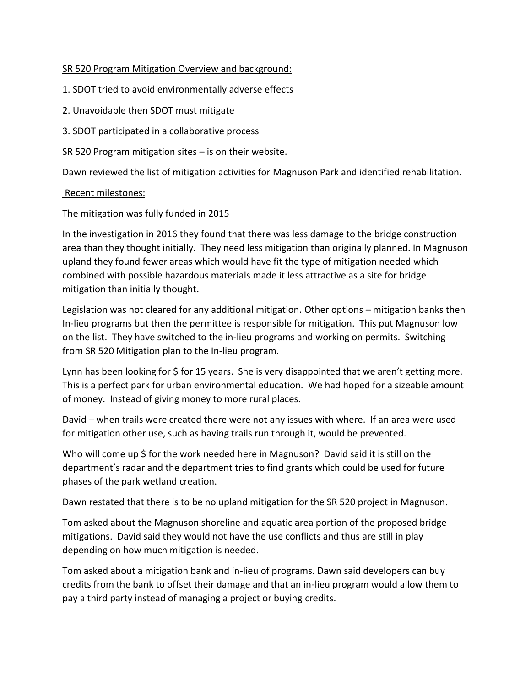### SR 520 Program Mitigation Overview and background:

- 1. SDOT tried to avoid environmentally adverse effects
- 2. Unavoidable then SDOT must mitigate
- 3. SDOT participated in a collaborative process

SR 520 Program mitigation sites – is on their website.

Dawn reviewed the list of mitigation activities for Magnuson Park and identified rehabilitation.

#### Recent milestones:

The mitigation was fully funded in 2015

In the investigation in 2016 they found that there was less damage to the bridge construction area than they thought initially. They need less mitigation than originally planned. In Magnuson upland they found fewer areas which would have fit the type of mitigation needed which combined with possible hazardous materials made it less attractive as a site for bridge mitigation than initially thought.

Legislation was not cleared for any additional mitigation. Other options – mitigation banks then In-lieu programs but then the permittee is responsible for mitigation. This put Magnuson low on the list. They have switched to the in-lieu programs and working on permits. Switching from SR 520 Mitigation plan to the In-lieu program.

Lynn has been looking for \$ for 15 years. She is very disappointed that we aren't getting more. This is a perfect park for urban environmental education. We had hoped for a sizeable amount of money. Instead of giving money to more rural places.

David – when trails were created there were not any issues with where. If an area were used for mitigation other use, such as having trails run through it, would be prevented.

Who will come up \$ for the work needed here in Magnuson? David said it is still on the department's radar and the department tries to find grants which could be used for future phases of the park wetland creation.

Dawn restated that there is to be no upland mitigation for the SR 520 project in Magnuson.

Tom asked about the Magnuson shoreline and aquatic area portion of the proposed bridge mitigations. David said they would not have the use conflicts and thus are still in play depending on how much mitigation is needed.

Tom asked about a mitigation bank and in-lieu of programs. Dawn said developers can buy credits from the bank to offset their damage and that an in-lieu program would allow them to pay a third party instead of managing a project or buying credits.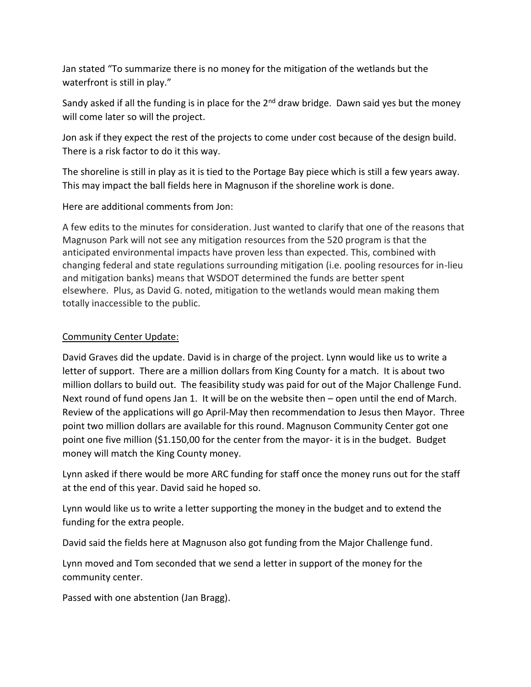Jan stated "To summarize there is no money for the mitigation of the wetlands but the waterfront is still in play."

Sandy asked if all the funding is in place for the  $2<sup>nd</sup>$  draw bridge. Dawn said yes but the money will come later so will the project.

Jon ask if they expect the rest of the projects to come under cost because of the design build. There is a risk factor to do it this way.

The shoreline is still in play as it is tied to the Portage Bay piece which is still a few years away. This may impact the ball fields here in Magnuson if the shoreline work is done.

Here are additional comments from Jon:

A few edits to the minutes for consideration. Just wanted to clarify that one of the reasons that Magnuson Park will not see any mitigation resources from the 520 program is that the anticipated environmental impacts have proven less than expected. This, combined with changing federal and state regulations surrounding mitigation (i.e. pooling resources for in-lieu and mitigation banks) means that WSDOT determined the funds are better spent elsewhere. Plus, as David G. noted, mitigation to the wetlands would mean making them totally inaccessible to the public.

### Community Center Update:

David Graves did the update. David is in charge of the project. Lynn would like us to write a letter of support. There are a million dollars from King County for a match. It is about two million dollars to build out. The feasibility study was paid for out of the Major Challenge Fund. Next round of fund opens Jan 1. It will be on the website then – open until the end of March. Review of the applications will go April-May then recommendation to Jesus then Mayor. Three point two million dollars are available for this round. Magnuson Community Center got one point one five million (\$1.150,00 for the center from the mayor- it is in the budget. Budget money will match the King County money.

Lynn asked if there would be more ARC funding for staff once the money runs out for the staff at the end of this year. David said he hoped so.

Lynn would like us to write a letter supporting the money in the budget and to extend the funding for the extra people.

David said the fields here at Magnuson also got funding from the Major Challenge fund.

Lynn moved and Tom seconded that we send a letter in support of the money for the community center.

Passed with one abstention (Jan Bragg).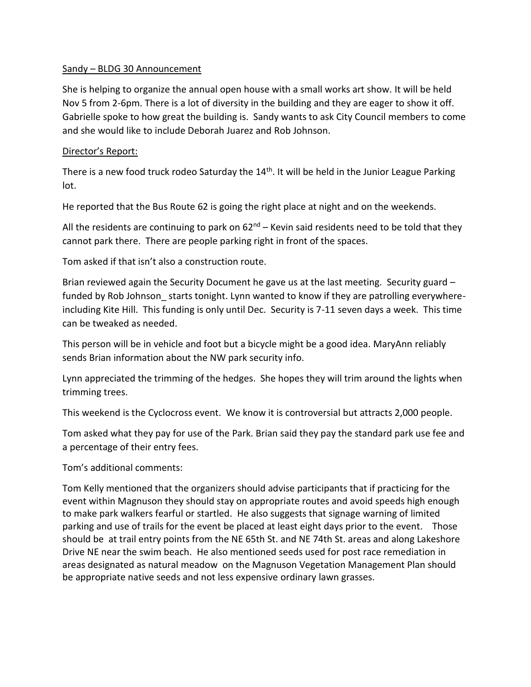#### Sandy – BLDG 30 Announcement

She is helping to organize the annual open house with a small works art show. It will be held Nov 5 from 2-6pm. There is a lot of diversity in the building and they are eager to show it off. Gabrielle spoke to how great the building is. Sandy wants to ask City Council members to come and she would like to include Deborah Juarez and Rob Johnson.

### Director's Report:

There is a new food truck rodeo Saturday the 14<sup>th</sup>. It will be held in the Junior League Parking lot.

He reported that the Bus Route 62 is going the right place at night and on the weekends.

All the residents are continuing to park on  $62^{nd}$  – Kevin said residents need to be told that they cannot park there. There are people parking right in front of the spaces.

Tom asked if that isn't also a construction route.

Brian reviewed again the Security Document he gave us at the last meeting. Security guard – funded by Rob Johnson starts tonight. Lynn wanted to know if they are patrolling everywhereincluding Kite Hill. This funding is only until Dec. Security is 7-11 seven days a week. This time can be tweaked as needed.

This person will be in vehicle and foot but a bicycle might be a good idea. MaryAnn reliably sends Brian information about the NW park security info.

Lynn appreciated the trimming of the hedges. She hopes they will trim around the lights when trimming trees.

This weekend is the Cyclocross event. We know it is controversial but attracts 2,000 people.

Tom asked what they pay for use of the Park. Brian said they pay the standard park use fee and a percentage of their entry fees.

Tom's additional comments:

Tom Kelly mentioned that the organizers should advise participants that if practicing for the event within Magnuson they should stay on appropriate routes and avoid speeds high enough to make park walkers fearful or startled. He also suggests that signage warning of limited parking and use of trails for the event be placed at least eight days prior to the event. Those should be at trail entry points from the NE 65th St. and NE 74th St. areas and along Lakeshore Drive NE near the swim beach. He also mentioned seeds used for post race remediation in areas designated as natural meadow on the Magnuson Vegetation Management Plan should be appropriate native seeds and not less expensive ordinary lawn grasses.